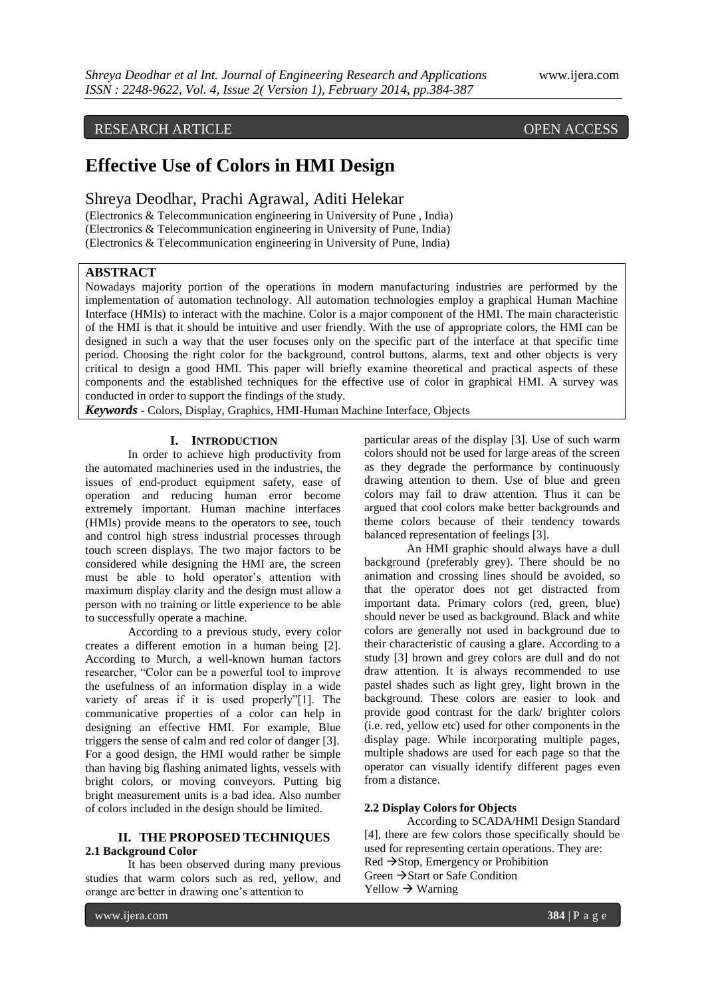# RESEARCH ARTICLE OPEN ACCESS

# **Effective Use of Colors in HMI Design**

Shreya Deodhar, Prachi Agrawal, Aditi Helekar

(Electronics & Telecommunication engineering in University of Pune , India) (Electronics & Telecommunication engineering in University of Pune, India) (Electronics & Telecommunication engineering in University of Pune, India)

# **ABSTRACT**

Nowadays majority portion of the operations in modern manufacturing industries are performed by the implementation of automation technology. All automation technologies employ a graphical Human Machine Interface (HMIs) to interact with the machine. Color is a major component of the HMI. The main characteristic of the HMI is that it should be intuitive and user friendly. With the use of appropriate colors, the HMI can be designed in such a way that the user focuses only on the specific part of the interface at that specific time period. Choosing the right color for the background, control buttons, alarms, text and other objects is very critical to design a good HMI. This paper will briefly examine theoretical and practical aspects of these components and the established techniques for the effective use of color in graphical HMI. A survey was conducted in order to support the findings of the study.

*Keywords* **-** Colors, Display, Graphics, HMI-Human Machine Interface, Objects

# **I. INTRODUCTION**

In order to achieve high productivity from the automated machineries used in the industries, the issues of end-product equipment safety, ease of operation and reducing human error become extremely important. Human machine interfaces (HMIs) provide means to the operators to see, touch and control high stress industrial processes through touch screen displays. The two major factors to be considered while designing the HMI are, the screen must be able to hold operator's attention with maximum display clarity and the design must allow a person with no training or little experience to be able to successfully operate a machine.

According to a previous study, every color creates a different emotion in a human being [2]. According to Murch, a well-known human factors researcher, "Color can be a powerful tool to improve the usefulness of an information display in a wide variety of areas if it is used properly"[1]. The communicative properties of a color can help in designing an effective HMI. For example, Blue triggers the sense of calm and red color of danger [3]. For a good design, the HMI would rather be simple than having big flashing animated lights, vessels with bright colors, or moving conveyors. Putting big bright measurement units is a bad idea. Also number of colors included in the design should be limited.

## **II. THE PROPOSED TECHNIQUES 2.1 Background Color**

It has been observed during many previous studies that warm colors such as red, yellow, and orange are better in drawing one's attention to

particular areas of the display [3]. Use of such warm colors should not be used for large areas of the screen as they degrade the performance by continuously drawing attention to them. Use of blue and green colors may fail to draw attention. Thus it can be argued that cool colors make better backgrounds and theme colors because of their tendency towards balanced representation of feelings [3].

An HMI graphic should always have a dull background (preferably grey). There should be no animation and crossing lines should be avoided, so that the operator does not get distracted from important data. Primary colors (red, green, blue) should never be used as background. Black and white colors are generally not used in background due to their characteristic of causing a glare. According to a study [3] brown and grey colors are dull and do not draw attention. It is always recommended to use pastel shades such as light grey, light brown in the background. These colors are easier to look and provide good contrast for the dark/ brighter colors (i.e. red, yellow etc) used for other components in the display page. While incorporating multiple pages, multiple shadows are used for each page so that the operator can visually identify different pages even from a distance.

#### **2.2 Display Colors for Objects**

According to SCADA/HMI Design Standard [4], there are few colors those specifically should be used for representing certain operations. They are:  $Red \rightarrow Stop$ , Emergency or Prohibition Green  $\rightarrow$  Start or Safe Condition  $Yellow \rightarrow Warning$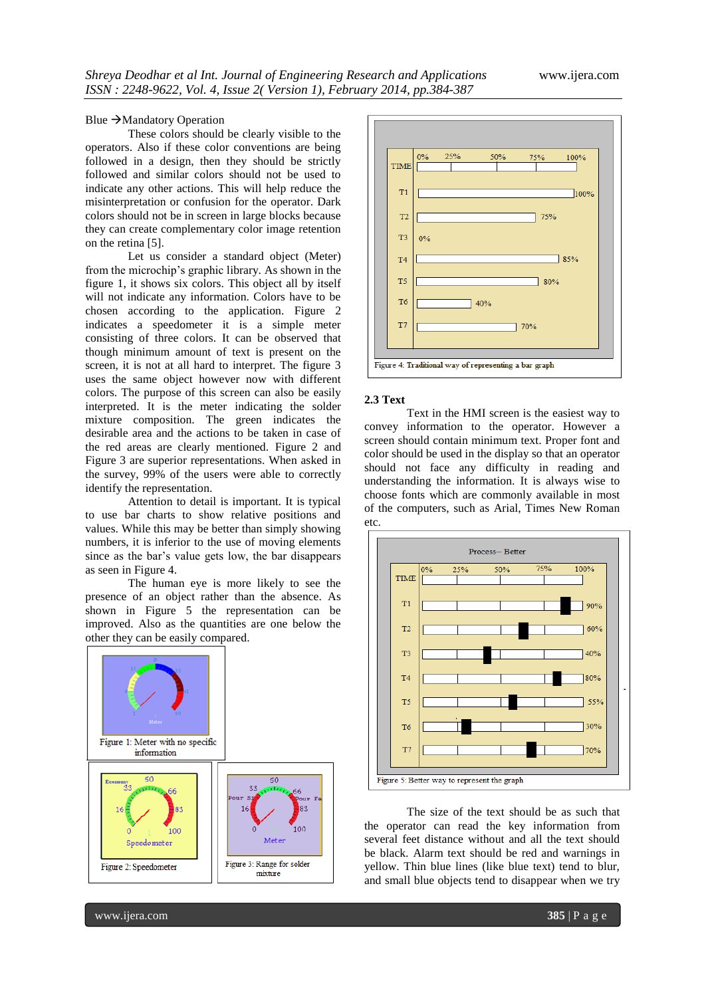#### Blue  $\rightarrow$  Mandatory Operation

These colors should be clearly visible to the operators. Also if these color conventions are being followed in a design, then they should be strictly followed and similar colors should not be used to indicate any other actions. This will help reduce the misinterpretation or confusion for the operator. Dark colors should not be in screen in large blocks because they can create complementary color image retention on the retina [5].

Let us consider a standard object (Meter) from the microchip's graphic library. As shown in the figure 1, it shows six colors. This object all by itself will not indicate any information. Colors have to be chosen according to the application. Figure 2 indicates a speedometer it is a simple meter consisting of three colors. It can be observed that though minimum amount of text is present on the screen, it is not at all hard to interpret. The figure 3 uses the same object however now with different colors. The purpose of this screen can also be easily interpreted. It is the meter indicating the solder mixture composition. The green indicates the desirable area and the actions to be taken in case of the red areas are clearly mentioned. Figure 2 and Figure 3 are superior representations. When asked in the survey, 99% of the users were able to correctly identify the representation.

Attention to detail is important. It is typical to use bar charts to show relative positions and values. While this may be better than simply showing numbers, it is inferior to the use of moving elements since as the bar's value gets low, the bar disappears as seen in Figure 4.

The human eye is more likely to see the presence of an object rather than the absence. As shown in Figure 5 the representation can be improved. Also as the quantities are one below the other they can be easily compared.





#### **2.3 Text**

Text in the HMI screen is the easiest way to convey information to the operator. However a screen should contain minimum text. Proper font and color should be used in the display so that an operator should not face any difficulty in reading and understanding the information. It is always wise to choose fonts which are commonly available in most of the computers, such as Arial, Times New Roman etc.



The size of the text should be as such that the operator can read the key information from several feet distance without and all the text should be black. Alarm text should be red and warnings in yellow. Thin blue lines (like blue text) tend to blur, and small blue objects tend to disappear when we try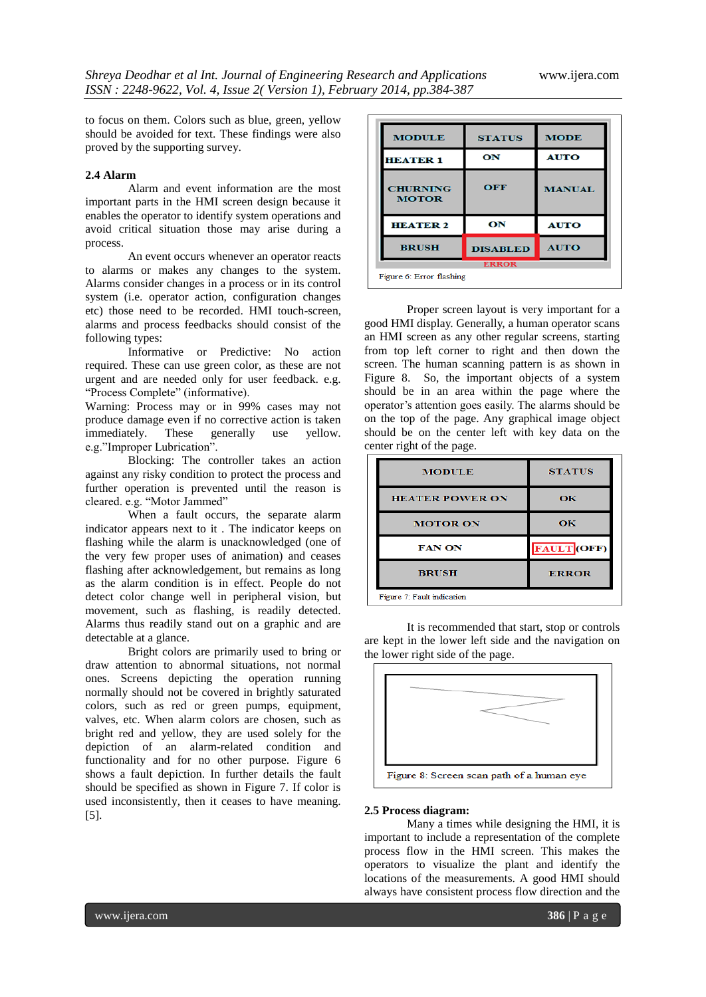to focus on them. Colors such as blue, green, yellow should be avoided for text. These findings were also proved by the supporting survey.

# **2.4 Alarm**

Alarm and event information are the most important parts in the HMI screen design because it enables the operator to identify system operations and avoid critical situation those may arise during a process.

An event occurs whenever an operator reacts to alarms or makes any changes to the system. Alarms consider changes in a process or in its control system (i.e. operator action, configuration changes etc) those need to be recorded. HMI touch-screen, alarms and process feedbacks should consist of the following types:

Informative or Predictive: No action required. These can use green color, as these are not urgent and are needed only for user feedback. e.g. "Process Complete" (informative).

Warning: Process may or in 99% cases may not produce damage even if no corrective action is taken<br>immediately. These generally use vellow. immediately. These generally use yellow. e.g."Improper Lubrication".

Blocking: The controller takes an action against any risky condition to protect the process and further operation is prevented until the reason is cleared. e.g. "Motor Jammed"

When a fault occurs, the separate alarm indicator appears next to it . The indicator keeps on flashing while the alarm is unacknowledged (one of the very few proper uses of animation) and ceases flashing after acknowledgement, but remains as long as the alarm condition is in effect. People do not detect color change well in peripheral vision, but movement, such as flashing, is readily detected. Alarms thus readily stand out on a graphic and are detectable at a glance.

Bright colors are primarily used to bring or draw attention to abnormal situations, not normal ones. Screens depicting the operation running normally should not be covered in brightly saturated colors, such as red or green pumps, equipment, valves, etc. When alarm colors are chosen, such as bright red and yellow, they are used solely for the depiction of an alarm-related condition and functionality and for no other purpose. Figure 6 shows a fault depiction. In further details the fault should be specified as shown in Figure 7. If color is used inconsistently, then it ceases to have meaning. [5].

| <b>MODULE</b>                   | <b>STATUS</b>   | <b>MODE</b>   |
|---------------------------------|-----------------|---------------|
| <b>HEATER 1</b>                 | ON              | <b>AUTO</b>   |
| <b>CHURNING</b><br><b>MOTOR</b> | OFF             | <b>MANUAL</b> |
| <b>HEATER 2</b>                 | ON              | <b>AUTO</b>   |
| <b>BRUSH</b>                    | <b>DISABLED</b> | <b>AUTO</b>   |
| <b>ERROR</b>                    |                 |               |
| Figure 6: Error flashing        |                 |               |

Proper screen layout is very important for a good HMI display. Generally, a human operator scans an HMI screen as any other regular screens, starting from top left corner to right and then down the screen. The human scanning pattern is as shown in Figure 8. So, the important objects of a system should be in an area within the page where the operator's attention goes easily. The alarms should be on the top of the page. Any graphical image object should be on the center left with key data on the center right of the page.

| <b>MODULE</b>              | <b>STATUS</b>      |  |
|----------------------------|--------------------|--|
| <b>HEATER POWER ON</b>     | ОК                 |  |
| <b>MOTOR ON</b>            | OК                 |  |
| <b>FAN ON</b>              | <b>FAULT</b> (OFF) |  |
| <b>BRUSH</b>               | <b>ERROR</b>       |  |
| Figure 7: Fault indication |                    |  |

It is recommended that start, stop or controls are kept in the lower left side and the navigation on the lower right side of the page.



#### **2.5 Process diagram:**

Many a times while designing the HMI, it is important to include a representation of the complete process flow in the HMI screen. This makes the operators to visualize the plant and identify the locations of the measurements. A good HMI should always have consistent process flow direction and the